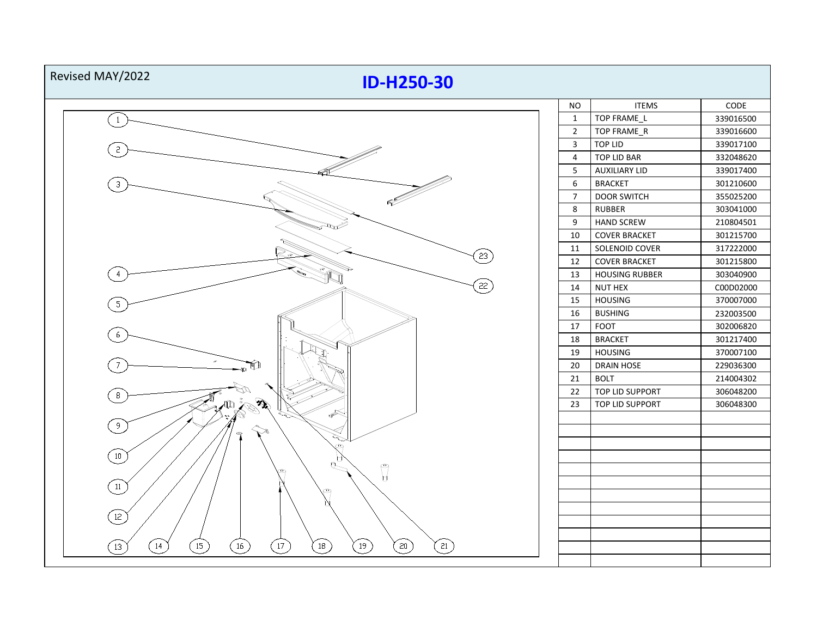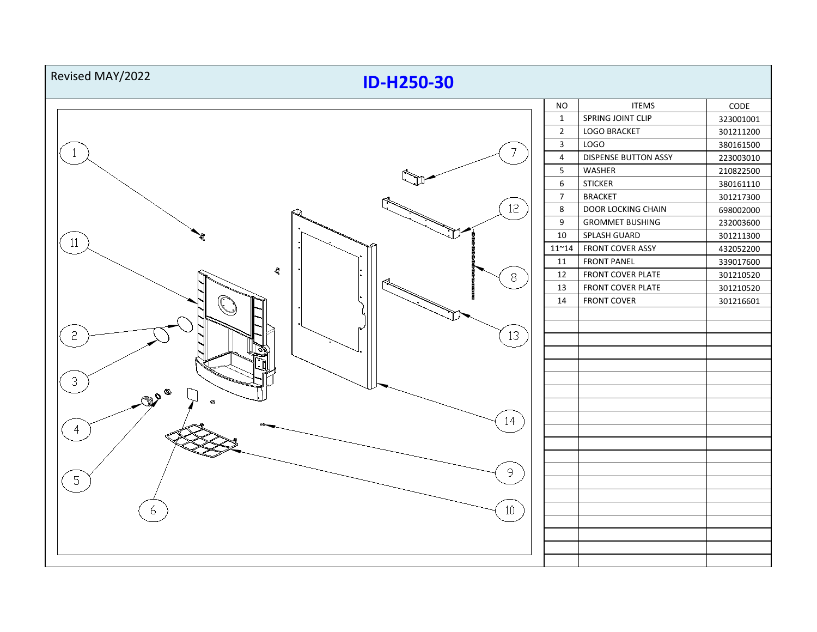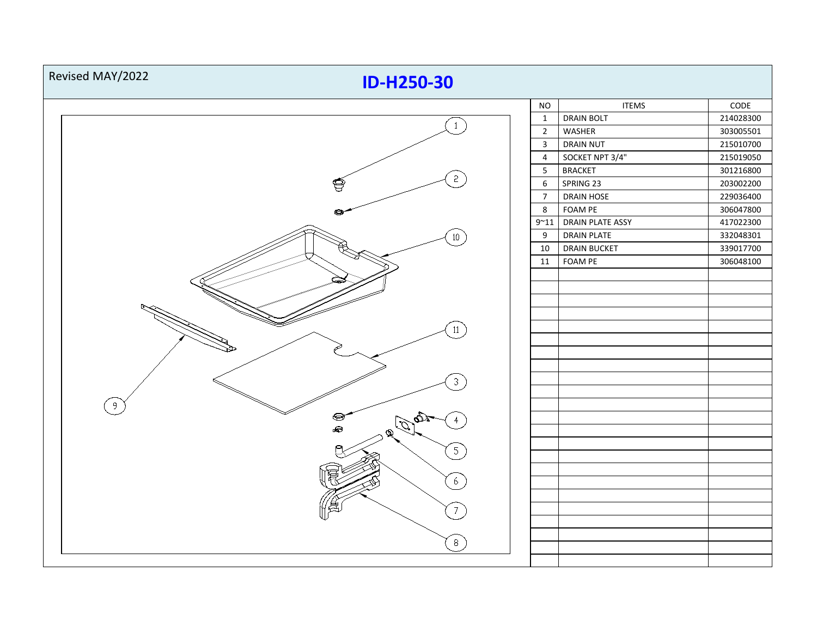| Revised MAY/2022<br><b>ID-H250-30</b>      |                |                     |           |
|--------------------------------------------|----------------|---------------------|-----------|
|                                            | <b>NO</b>      | <b>ITEMS</b>        | CODE      |
|                                            | $\mathbf{1}$   | <b>DRAIN BOLT</b>   | 214028300 |
| $\mathbf{1}$                               | $\overline{2}$ | WASHER              | 303005501 |
|                                            | $\mathbf{3}$   | <b>DRAIN NUT</b>    | 215010700 |
|                                            | $\overline{4}$ | SOCKET NPT 3/4"     | 215019050 |
|                                            | 5 <sub>5</sub> | <b>BRACKET</b>      | 301216800 |
| $\sqrt{2}$<br>ę                            | 6              | SPRING 23           | 203002200 |
|                                            | $\overline{7}$ | DRAIN HOSE          | 229036400 |
|                                            | $8\phantom{1}$ | FOAM PE             | 306047800 |
|                                            | $9^{\sim}11$   | DRAIN PLATE ASSY    | 417022300 |
| $\left(10\right)$                          | 9              | <b>DRAIN PLATE</b>  | 332048301 |
|                                            | 10             | <b>DRAIN BUCKET</b> | 339017700 |
|                                            | 11             | FOAM PE             | 306048100 |
|                                            |                |                     |           |
|                                            |                |                     |           |
|                                            |                |                     |           |
|                                            |                |                     |           |
| 11                                         |                |                     |           |
|                                            |                |                     |           |
|                                            |                |                     |           |
|                                            |                |                     |           |
| $\overline{3}$                             |                |                     |           |
|                                            |                |                     |           |
| $\overline{9}$                             |                |                     |           |
| $\quad \  \  \, \otimes$<br>$\mathbb{Q}^2$ |                |                     |           |
| Ć.<br>Q                                    |                |                     |           |
|                                            |                |                     |           |
| $5^{\circ}$                                |                |                     |           |
|                                            |                |                     |           |
| 6 <sup>7</sup>                             |                |                     |           |
|                                            |                |                     |           |
| $\mathcal{I}$                              |                |                     |           |
|                                            |                |                     |           |
|                                            |                |                     |           |
| 8 <sup>2</sup>                             |                |                     |           |
|                                            |                |                     |           |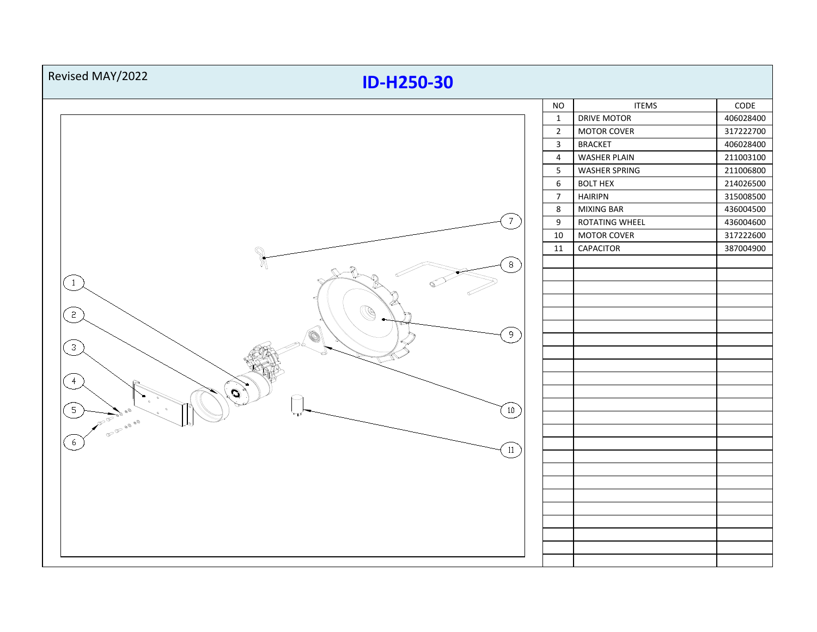| Revised MAY/2022<br><b>ID-H250-30</b>               |                             |                      |           |  |  |  |
|-----------------------------------------------------|-----------------------------|----------------------|-----------|--|--|--|
|                                                     | <b>NO</b>                   | <b>ITEMS</b>         | CODE      |  |  |  |
|                                                     | $\mathbf 1$                 | <b>DRIVE MOTOR</b>   | 406028400 |  |  |  |
|                                                     | $\overline{2}$              | MOTOR COVER          | 317222700 |  |  |  |
|                                                     | $\overline{3}$              | <b>BRACKET</b>       | 406028400 |  |  |  |
|                                                     | $\overline{4}$              | <b>WASHER PLAIN</b>  | 211003100 |  |  |  |
|                                                     | 5                           | <b>WASHER SPRING</b> | 211006800 |  |  |  |
|                                                     | $\boldsymbol{6}$            | <b>BOLT HEX</b>      | 214026500 |  |  |  |
|                                                     | $\boldsymbol{7}$<br>$\bf 8$ | <b>HAIRIPN</b>       | 315008500 |  |  |  |
|                                                     |                             | <b>MIXING BAR</b>    | 436004500 |  |  |  |
| $\overline{7}$                                      | $\boldsymbol{9}$            | ROTATING WHEEL       | 436004600 |  |  |  |
|                                                     | 10                          | MOTOR COVER          | 317222600 |  |  |  |
|                                                     | 11                          | CAPACITOR            | 387004900 |  |  |  |
| $\begin{matrix} \mathbb{R} \end{matrix}$<br>$\,8\,$ |                             |                      |           |  |  |  |
|                                                     |                             |                      |           |  |  |  |
| $\mathbf{1}$                                        |                             |                      |           |  |  |  |
|                                                     |                             |                      |           |  |  |  |
| O)<br>$\overline{c}$                                |                             |                      |           |  |  |  |
|                                                     |                             |                      |           |  |  |  |
| $\bullet$<br>်မျ                                    |                             |                      |           |  |  |  |
| $\left\lceil 3 \right\rceil$                        |                             |                      |           |  |  |  |
|                                                     |                             |                      |           |  |  |  |
| $\overline{4}$                                      |                             |                      |           |  |  |  |
| O                                                   |                             |                      |           |  |  |  |
| $5\phantom{.0}$<br>$\left(10\right)$                |                             |                      |           |  |  |  |
| $x^{\infty}$                                        |                             |                      |           |  |  |  |
| OF OF OO OO                                         |                             |                      |           |  |  |  |
| 6                                                   |                             |                      |           |  |  |  |
| $\left(11\right)$                                   |                             |                      |           |  |  |  |
|                                                     |                             |                      |           |  |  |  |
|                                                     |                             |                      |           |  |  |  |
|                                                     |                             |                      |           |  |  |  |
|                                                     |                             |                      |           |  |  |  |
|                                                     |                             |                      |           |  |  |  |
|                                                     |                             |                      |           |  |  |  |
|                                                     |                             |                      |           |  |  |  |
|                                                     |                             |                      |           |  |  |  |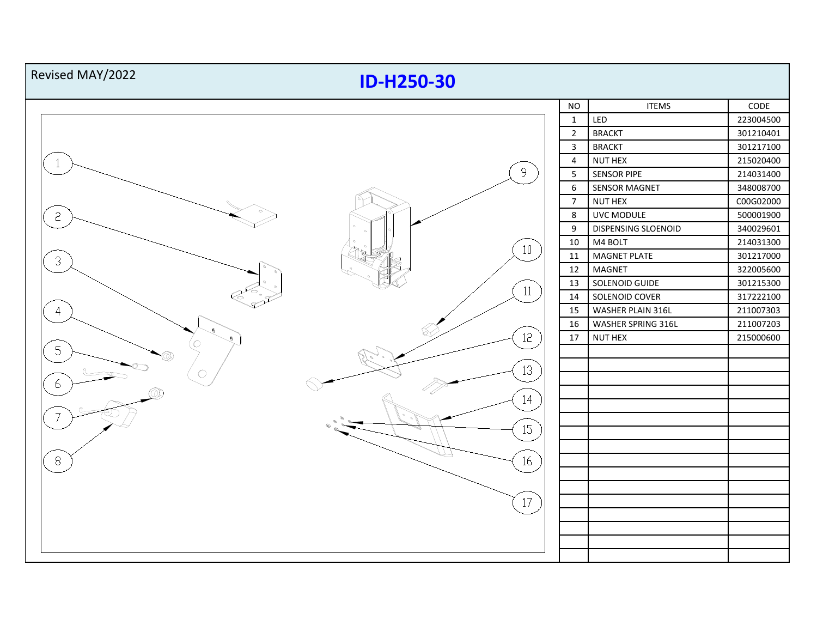| Revised MAY/2022<br><b>ID-H250-30</b> |                 |                |                      |           |  |  |
|---------------------------------------|-----------------|----------------|----------------------|-----------|--|--|
|                                       |                 | <b>NO</b>      | <b>ITEMS</b>         | CODE      |  |  |
|                                       |                 | $\mathbf{1}$   | LED                  | 223004500 |  |  |
|                                       |                 | $\overline{2}$ | <b>BRACKT</b>        | 301210401 |  |  |
|                                       |                 | $\mathbf{3}$   | <b>BRACKT</b>        | 301217100 |  |  |
|                                       |                 | $\overline{4}$ | <b>NUT HEX</b>       | 215020400 |  |  |
|                                       | 9               | $\overline{5}$ | <b>SENSOR PIPE</b>   | 214031400 |  |  |
|                                       |                 | 6              | <b>SENSOR MAGNET</b> | 348008700 |  |  |
|                                       |                 | $\overline{7}$ | <b>NUT HEX</b>       | C00G02000 |  |  |
| $\overline{c}$                        |                 | 8              | UVC MODULE           | 500001900 |  |  |
|                                       |                 | 9              | DISPENSING SLOENOID  | 340029601 |  |  |
|                                       | $10\,$          | 10             | M4 BOLT              | 214031300 |  |  |
| 3                                     |                 | 11             | <b>MAGNET PLATE</b>  | 301217000 |  |  |
|                                       |                 | 12             | <b>MAGNET</b>        | 322005600 |  |  |
|                                       | 11              | 13             | SOLENOID GUIDE       | 301215300 |  |  |
|                                       |                 | 14             | SOLENOID COVER       | 317222100 |  |  |
| $\overline{4}$                        |                 | 15             | WASHER PLAIN 316L    | 211007303 |  |  |
|                                       |                 | 16             | WASHER SPRING 316L   | 211007203 |  |  |
| O                                     | 12 <sup>°</sup> | 17             | <b>NUT HEX</b>       | 215000600 |  |  |
| 5                                     |                 |                |                      |           |  |  |
| $\bigcirc$                            | 13              |                |                      |           |  |  |
| 6                                     |                 |                |                      |           |  |  |
|                                       | 14              |                |                      |           |  |  |
|                                       |                 |                |                      |           |  |  |
|                                       | 15              |                |                      |           |  |  |
|                                       |                 |                |                      |           |  |  |
|                                       |                 |                |                      |           |  |  |
| 8                                     | 16              |                |                      |           |  |  |
|                                       |                 |                |                      |           |  |  |
|                                       |                 |                |                      |           |  |  |
|                                       | 17              |                |                      |           |  |  |
|                                       |                 |                |                      |           |  |  |
|                                       |                 |                |                      |           |  |  |
|                                       |                 |                |                      |           |  |  |
|                                       |                 |                |                      |           |  |  |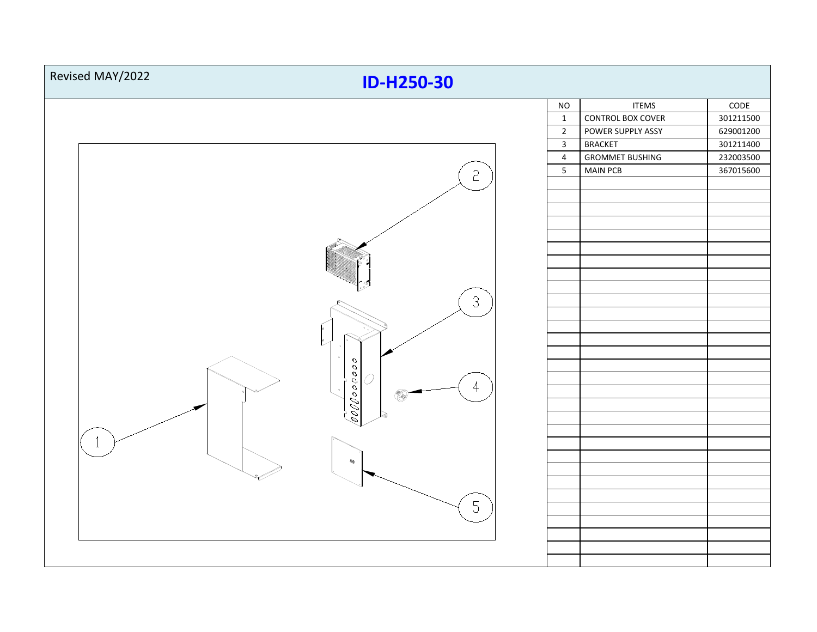